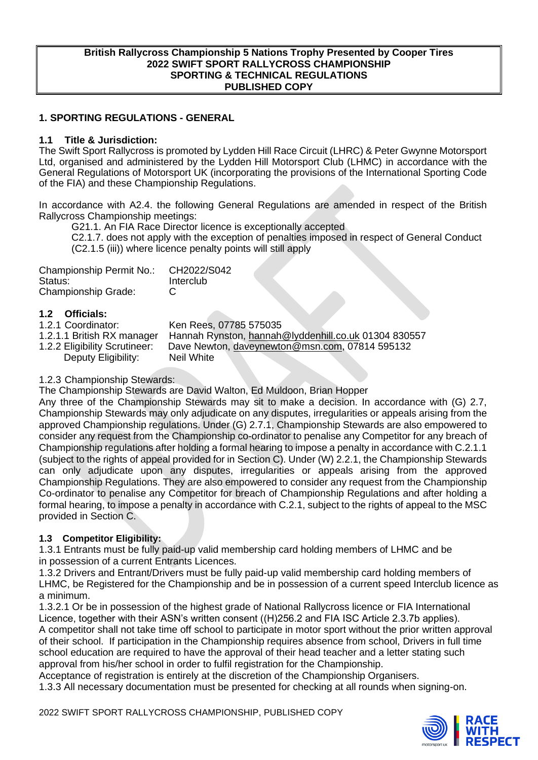#### **British Rallycross Championship 5 Nations Trophy Presented by Cooper Tires 2022 SWIFT SPORT RALLYCROSS CHAMPIONSHIP SPORTING & TECHNICAL REGULATIONS PUBLISHED COPY**

#### **1. SPORTING REGULATIONS - GENERAL**

#### **1.1 Title & Jurisdiction:**

The Swift Sport Rallycross is promoted by Lydden Hill Race Circuit (LHRC) & Peter Gwynne Motorsport Ltd, organised and administered by the Lydden Hill Motorsport Club (LHMC) in accordance with the General Regulations of Motorsport UK (incorporating the provisions of the International Sporting Code of the FIA) and these Championship Regulations.

In accordance with A2.4. the following General Regulations are amended in respect of the British Rallycross Championship meetings:

G21.1. An FIA Race Director licence is exceptionally accepted

C2.1.7. does not apply with the exception of penalties imposed in respect of General Conduct (C2.1.5 (iii)) where licence penalty points will still apply

| Championship Permit No.:   | CH2022/S042 |
|----------------------------|-------------|
| Status:                    | Interclub   |
| <b>Championship Grade:</b> | C           |

#### **1.2 Officials:**

| 1.2.1 Coordinator:            | Ken Rees, 07785 575035                               |
|-------------------------------|------------------------------------------------------|
| 1.2.1.1 British RX manager    | Hannah Rynston, hannah@lyddenhill.co.uk 01304 830557 |
| 1.2.2 Eligibility Scrutineer: | Dave Newton, daveynewton@msn.com, 07814 595132       |
| Deputy Eligibility:           | Neil White                                           |

#### 1.2.3 Championship Stewards:

The Championship Stewards are David Walton, Ed Muldoon, Brian Hopper

Any three of the Championship Stewards may sit to make a decision. In accordance with (G) 2.7, Championship Stewards may only adjudicate on any disputes, irregularities or appeals arising from the approved Championship regulations. Under (G) 2.7.1, Championship Stewards are also empowered to consider any request from the Championship co-ordinator to penalise any Competitor for any breach of Championship regulations after holding a formal hearing to impose a penalty in accordance with C.2.1.1 (subject to the rights of appeal provided for in Section C). Under (W) 2.2.1, the Championship Stewards can only adjudicate upon any disputes, irregularities or appeals arising from the approved Championship Regulations. They are also empowered to consider any request from the Championship Co-ordinator to penalise any Competitor for breach of Championship Regulations and after holding a formal hearing, to impose a penalty in accordance with C.2.1, subject to the rights of appeal to the MSC provided in Section C.

## **1.3 Competitor Eligibility:**

1.3.1 Entrants must be fully paid-up valid membership card holding members of LHMC and be in possession of a current Entrants Licences.

1.3.2 Drivers and Entrant/Drivers must be fully paid-up valid membership card holding members of LHMC, be Registered for the Championship and be in possession of a current speed Interclub licence as a minimum.

1.3.2.1 Or be in possession of the highest grade of National Rallycross licence or FIA International Licence, together with their ASN's written consent ((H)256.2 and FIA ISC Article 2.3.7b applies). A competitor shall not take time off school to participate in motor sport without the prior written approval of their school. If participation in the Championship requires absence from school, Drivers in full time school education are required to have the approval of their head teacher and a letter stating such approval from his/her school in order to fulfil registration for the Championship.

Acceptance of registration is entirely at the discretion of the Championship Organisers.

1.3.3 All necessary documentation must be presented for checking at all rounds when signing-on.

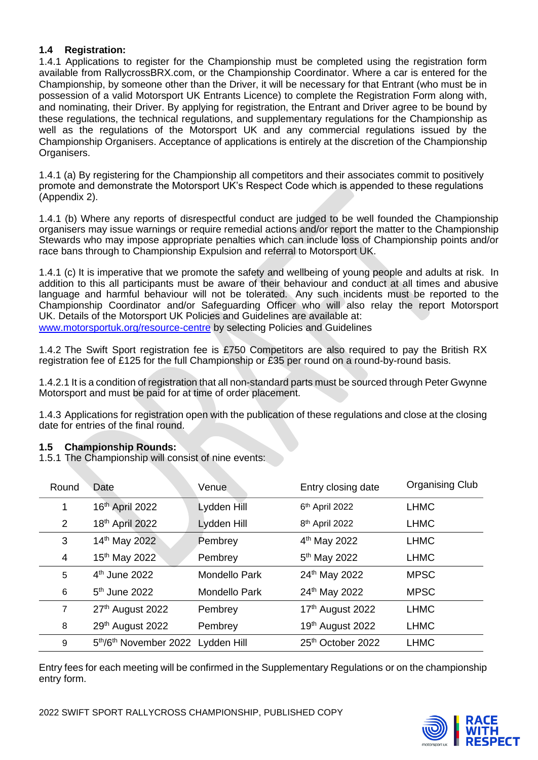## **1.4 Registration:**

1.4.1 Applications to register for the Championship must be completed using the registration form available from RallycrossBRX.com, or the Championship Coordinator. Where a car is entered for the Championship, by someone other than the Driver, it will be necessary for that Entrant (who must be in possession of a valid Motorsport UK Entrants Licence) to complete the Registration Form along with, and nominating, their Driver. By applying for registration, the Entrant and Driver agree to be bound by these regulations, the technical regulations, and supplementary regulations for the Championship as well as the regulations of the Motorsport UK and any commercial regulations issued by the Championship Organisers. Acceptance of applications is entirely at the discretion of the Championship Organisers.

1.4.1 (a) By registering for the Championship all competitors and their associates commit to positively promote and demonstrate the Motorsport UK's Respect Code which is appended to these regulations (Appendix 2).

1.4.1 (b) Where any reports of disrespectful conduct are judged to be well founded the Championship organisers may issue warnings or require remedial actions and/or report the matter to the Championship Stewards who may impose appropriate penalties which can include loss of Championship points and/or race bans through to Championship Expulsion and referral to Motorsport UK.

1.4.1 (c) It is imperative that we promote the safety and wellbeing of young people and adults at risk. In addition to this all participants must be aware of their behaviour and conduct at all times and abusive language and harmful behaviour will not be tolerated. Any such incidents must be reported to the Championship Coordinator and/or Safeguarding Officer who will also relay the report Motorsport UK. Details of the Motorsport UK Policies and Guidelines are available at: [www.motorsportuk.org/resource-centre](http://www.motorsportuk.org/resource-centre) by selecting Policies and Guidelines

1.4.2 The Swift Sport registration fee is £750 Competitors are also required to pay the British RX registration fee of £125 for the full Championship or £35 per round on a round-by-round basis.

1.4.2.1 It is a condition of registration that all non-standard parts must be sourced through Peter Gwynne Motorsport and must be paid for at time of order placement.

1.4.3 Applications for registration open with the publication of these regulations and close at the closing date for entries of the final round.

## **1.5 Championship Rounds:**

1.5.1 The Championship will consist of nine events:

| Round          | Date                              | Venue                | Entry closing date            | <b>Organising Club</b> |
|----------------|-----------------------------------|----------------------|-------------------------------|------------------------|
| 1              | 16th April 2022                   | Lydden Hill          | 6th April 2022                | <b>LHMC</b>            |
| 2              | 18th April 2022                   | Lydden Hill          | 8 <sup>th</sup> April 2022    | <b>LHMC</b>            |
| 3              | 14th May 2022                     | Pembrey              | 4 <sup>th</sup> May 2022      | <b>LHMC</b>            |
| 4              | 15th May 2022                     | Pembrey              | 5 <sup>th</sup> May 2022      | <b>LHMC</b>            |
| 5              | 4 <sup>th</sup> June 2022         | <b>Mondello Park</b> | 24th May 2022                 | <b>MPSC</b>            |
| 6              | 5 <sup>th</sup> June 2022         | <b>Mondello Park</b> | 24th May 2022                 | <b>MPSC</b>            |
| $\overline{7}$ | 27th August 2022                  | Pembrey              | 17th August 2022              | <b>LHMC</b>            |
| 8              | 29th August 2022                  | Pembrey              | 19th August 2022              | <b>LHMC</b>            |
| 9              | 5th/6th November 2022 Lydden Hill |                      | 25 <sup>th</sup> October 2022 | <b>LHMC</b>            |

Entry fees for each meeting will be confirmed in the Supplementary Regulations or on the championship entry form.

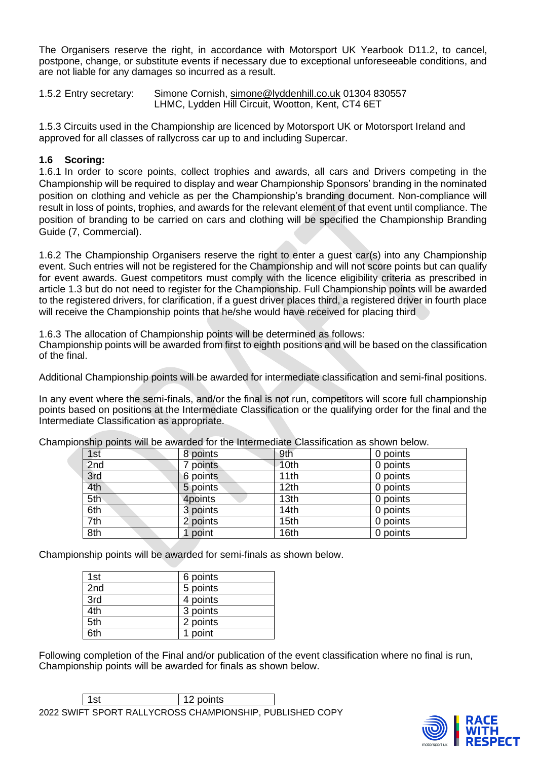The Organisers reserve the right, in accordance with Motorsport UK Yearbook D11.2, to cancel, postpone, change, or substitute events if necessary due to exceptional unforeseeable conditions, and are not liable for any damages so incurred as a result.

1.5.2 Entry secretary: Simone Cornish, [simone@lyddenhill.co.uk](mailto:simone@lyddenhill.co.uk) 01304 830557 LHMC, Lydden Hill Circuit, Wootton, Kent, CT4 6ET

1.5.3 Circuits used in the Championship are licenced by Motorsport UK or Motorsport Ireland and approved for all classes of rallycross car up to and including Supercar.

## **1.6 Scoring:**

1.6.1 In order to score points, collect trophies and awards, all cars and Drivers competing in the Championship will be required to display and wear Championship Sponsors' branding in the nominated position on clothing and vehicle as per the Championship's branding document. Non-compliance will result in loss of points, trophies, and awards for the relevant element of that event until compliance. The position of branding to be carried on cars and clothing will be specified the Championship Branding Guide (7, Commercial).

1.6.2 The Championship Organisers reserve the right to enter a guest car(s) into any Championship event. Such entries will not be registered for the Championship and will not score points but can qualify for event awards. Guest competitors must comply with the licence eligibility criteria as prescribed in article 1.3 but do not need to register for the Championship. Full Championship points will be awarded to the registered drivers, for clarification, if a guest driver places third, a registered driver in fourth place will receive the Championship points that he/she would have received for placing third

1.6.3 The allocation of Championship points will be determined as follows:

Championship points will be awarded from first to eighth positions and will be based on the classification of the final.

Additional Championship points will be awarded for intermediate classification and semi-final positions.

In any event where the semi-finals, and/or the final is not run, competitors will score full championship points based on positions at the Intermediate Classification or the qualifying order for the final and the Intermediate Classification as appropriate.

| 1st | 8 points | 9th              | 0 points |
|-----|----------|------------------|----------|
| 2nd | points   | 10 <sub>th</sub> | 0 points |
| 3rd | 6 points | 11th             | 0 points |
| 4th | 5 points | 12 <sub>th</sub> | 0 points |
| 5th | 4points  | 13 <sub>th</sub> | 0 points |
| 6th | 3 points | 14th             | 0 points |
| 7th | 2 points | 15th             | 0 points |
| 8th | point    | 16th             | 0 points |

Championship points will be awarded for the Intermediate Classification as shown below.

Championship points will be awarded for semi-finals as shown below.

| 1st | 6 points |
|-----|----------|
| 2nd | 5 points |
| 3rd | 4 points |
| 4th | 3 points |
| 5th | 2 points |
| 6th | 1 point  |

Following completion of the Final and/or publication of the event classification where no final is run, Championship points will be awarded for finals as shown below.

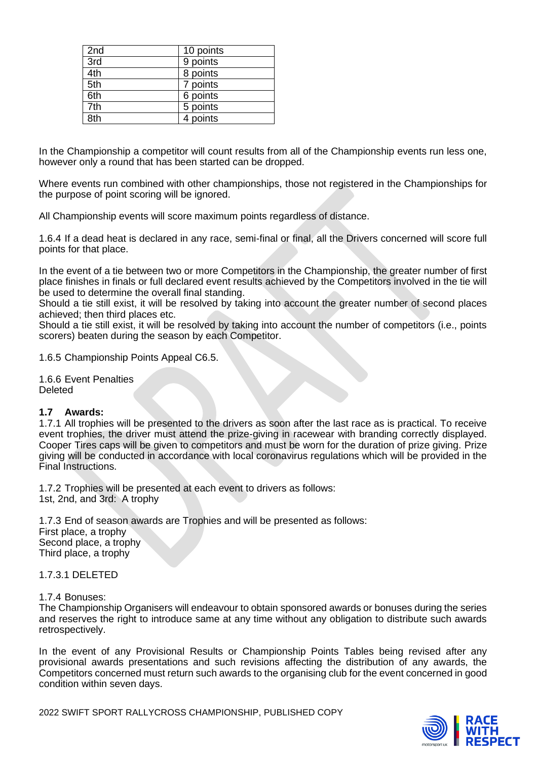| 2nd | 10 points |
|-----|-----------|
| 3rd | 9 points  |
| 4th | 8 points  |
| 5th | 7 points  |
| 6th | 6 points  |
| 7th | 5 points  |
| 8th | 4 points  |

In the Championship a competitor will count results from all of the Championship events run less one, however only a round that has been started can be dropped.

Where events run combined with other championships, those not registered in the Championships for the purpose of point scoring will be ignored.

All Championship events will score maximum points regardless of distance.

1.6.4 If a dead heat is declared in any race, semi-final or final, all the Drivers concerned will score full points for that place.

In the event of a tie between two or more Competitors in the Championship, the greater number of first place finishes in finals or full declared event results achieved by the Competitors involved in the tie will be used to determine the overall final standing.

Should a tie still exist, it will be resolved by taking into account the greater number of second places achieved; then third places etc.

Should a tie still exist, it will be resolved by taking into account the number of competitors (i.e., points scorers) beaten during the season by each Competitor.

1.6.5 Championship Points Appeal C6.5.

1.6.6 Event Penalties Deleted

#### **1.7 Awards:**

1.7.1 All trophies will be presented to the drivers as soon after the last race as is practical. To receive event trophies, the driver must attend the prize-giving in racewear with branding correctly displayed. Cooper Tires caps will be given to competitors and must be worn for the duration of prize giving. Prize giving will be conducted in accordance with local coronavirus regulations which will be provided in the Final Instructions.

1.7.2 Trophies will be presented at each event to drivers as follows: 1st, 2nd, and 3rd: A trophy

1.7.3 End of season awards are Trophies and will be presented as follows: First place, a trophy Second place, a trophy Third place, a trophy

1.7.3.1 DELETED

#### 1.7.4 Bonuses:

The Championship Organisers will endeavour to obtain sponsored awards or bonuses during the series and reserves the right to introduce same at any time without any obligation to distribute such awards retrospectively.

In the event of any Provisional Results or Championship Points Tables being revised after any provisional awards presentations and such revisions affecting the distribution of any awards, the Competitors concerned must return such awards to the organising club for the event concerned in good condition within seven days.

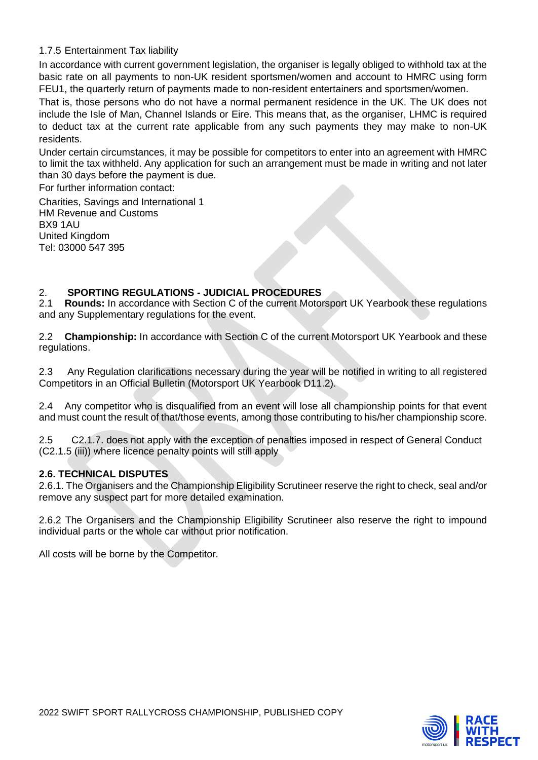## 1.7.5 Entertainment Tax liability

In accordance with current government legislation, the organiser is legally obliged to withhold tax at the basic rate on all payments to non-UK resident sportsmen/women and account to HMRC using form FEU1, the quarterly return of payments made to non-resident entertainers and sportsmen/women.

That is, those persons who do not have a normal permanent residence in the UK. The UK does not include the Isle of Man, Channel Islands or Eire. This means that, as the organiser, LHMC is required to deduct tax at the current rate applicable from any such payments they may make to non-UK residents.

Under certain circumstances, it may be possible for competitors to enter into an agreement with HMRC to limit the tax withheld. Any application for such an arrangement must be made in writing and not later than 30 days before the payment is due.

For further information contact:

Charities, Savings and International 1 HM Revenue and Customs BX9 1AU United Kingdom Tel: 03000 547 395

# 2. **SPORTING REGULATIONS - JUDICIAL PROCEDURES**

2.1 **Rounds:** In accordance with Section C of the current Motorsport UK Yearbook these regulations and any Supplementary regulations for the event.

2.2 **Championship:** In accordance with Section C of the current Motorsport UK Yearbook and these regulations.

2.3 Any Regulation clarifications necessary during the year will be notified in writing to all registered Competitors in an Official Bulletin (Motorsport UK Yearbook D11.2).

2.4 Any competitor who is disqualified from an event will lose all championship points for that event and must count the result of that/those events, among those contributing to his/her championship score.

2.5 C2.1.7. does not apply with the exception of penalties imposed in respect of General Conduct (C2.1.5 (iii)) where licence penalty points will still apply

#### **2.6. TECHNICAL DISPUTES**

2.6.1. The Organisers and the Championship Eligibility Scrutineer reserve the right to check, seal and/or remove any suspect part for more detailed examination.

2.6.2 The Organisers and the Championship Eligibility Scrutineer also reserve the right to impound individual parts or the whole car without prior notification.

All costs will be borne by the Competitor.

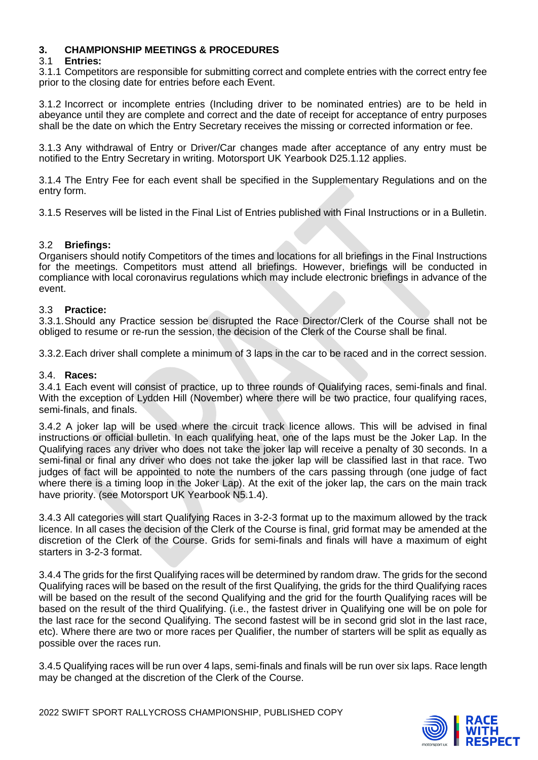## **3. CHAMPIONSHIP MEETINGS & PROCEDURES**

#### 3.1 **Entries:**

3.1.1 Competitors are responsible for submitting correct and complete entries with the correct entry fee prior to the closing date for entries before each Event.

3.1.2 Incorrect or incomplete entries (Including driver to be nominated entries) are to be held in abeyance until they are complete and correct and the date of receipt for acceptance of entry purposes shall be the date on which the Entry Secretary receives the missing or corrected information or fee.

3.1.3 Any withdrawal of Entry or Driver/Car changes made after acceptance of any entry must be notified to the Entry Secretary in writing. Motorsport UK Yearbook D25.1.12 applies.

3.1.4 The Entry Fee for each event shall be specified in the Supplementary Regulations and on the entry form.

3.1.5 Reserves will be listed in the Final List of Entries published with Final Instructions or in a Bulletin.

#### 3.2 **Briefings:**

Organisers should notify Competitors of the times and locations for all briefings in the Final Instructions for the meetings. Competitors must attend all briefings. However, briefings will be conducted in compliance with local coronavirus regulations which may include electronic briefings in advance of the event.

#### 3.3 **Practice:**

3.3.1.Should any Practice session be disrupted the Race Director/Clerk of the Course shall not be obliged to resume or re-run the session, the decision of the Clerk of the Course shall be final.

3.3.2.Each driver shall complete a minimum of 3 laps in the car to be raced and in the correct session.

#### 3.4. **Races:**

3.4.1 Each event will consist of practice, up to three rounds of Qualifying races, semi-finals and final. With the exception of Lydden Hill (November) where there will be two practice, four qualifying races, semi-finals, and finals.

3.4.2 A joker lap will be used where the circuit track licence allows. This will be advised in final instructions or official bulletin. In each qualifying heat, one of the laps must be the Joker Lap. In the Qualifying races any driver who does not take the joker lap will receive a penalty of 30 seconds. In a semi-final or final any driver who does not take the joker lap will be classified last in that race. Two judges of fact will be appointed to note the numbers of the cars passing through (one judge of fact where there is a timing loop in the Joker Lap). At the exit of the joker lap, the cars on the main track have priority. (see Motorsport UK Yearbook N5.1.4).

3.4.3 All categories will start Qualifying Races in 3-2-3 format up to the maximum allowed by the track licence. In all cases the decision of the Clerk of the Course is final, grid format may be amended at the discretion of the Clerk of the Course. Grids for semi-finals and finals will have a maximum of eight starters in 3-2-3 format.

3.4.4 The grids for the first Qualifying races will be determined by random draw. The grids for the second Qualifying races will be based on the result of the first Qualifying, the grids for the third Qualifying races will be based on the result of the second Qualifying and the grid for the fourth Qualifying races will be based on the result of the third Qualifying. (i.e., the fastest driver in Qualifying one will be on pole for the last race for the second Qualifying. The second fastest will be in second grid slot in the last race, etc). Where there are two or more races per Qualifier, the number of starters will be split as equally as possible over the races run.

3.4.5 Qualifying races will be run over 4 laps, semi-finals and finals will be run over six laps. Race length may be changed at the discretion of the Clerk of the Course.

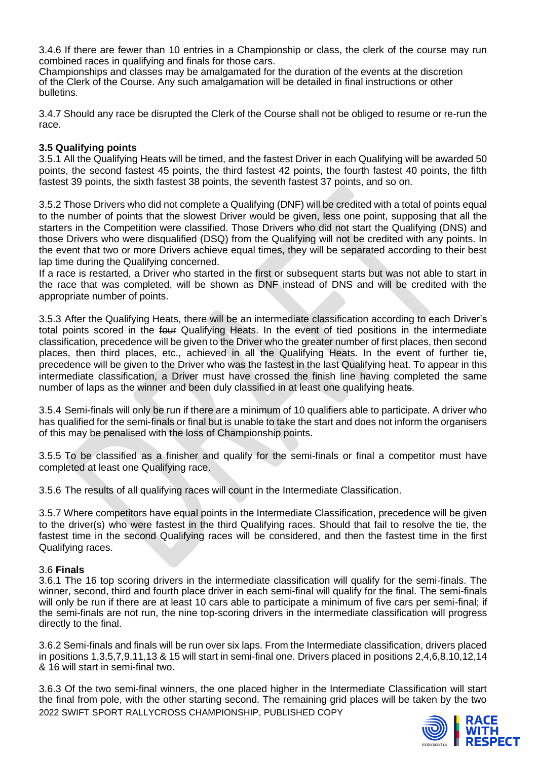3.4.6 If there are fewer than 10 entries in a Championship or class, the clerk of the course may run combined races in qualifying and finals for those cars.

Championships and classes may be amalgamated for the duration of the events at the discretion of the Clerk of the Course. Any such amalgamation will be detailed in final instructions or other bulletins.

3.4.7 Should any race be disrupted the Clerk of the Course shall not be obliged to resume or re-run the race.

#### **3.5 Qualifying points**

3.5.1 All the Qualifying Heats will be timed, and the fastest Driver in each Qualifying will be awarded 50 points, the second fastest 45 points, the third fastest 42 points, the fourth fastest 40 points, the fifth fastest 39 points, the sixth fastest 38 points, the seventh fastest 37 points, and so on.

3.5.2 Those Drivers who did not complete a Qualifying (DNF) will be credited with a total of points equal to the number of points that the slowest Driver would be given, less one point, supposing that all the starters in the Competition were classified. Those Drivers who did not start the Qualifying (DNS) and those Drivers who were disqualified (DSQ) from the Qualifying will not be credited with any points. In the event that two or more Drivers achieve equal times, they will be separated according to their best lap time during the Qualifying concerned.

If a race is restarted, a Driver who started in the first or subsequent starts but was not able to start in the race that was completed, will be shown as DNF instead of DNS and will be credited with the appropriate number of points.

3.5.3 After the Qualifying Heats, there will be an intermediate classification according to each Driver's total points scored in the four Qualifying Heats. In the event of tied positions in the intermediate classification, precedence will be given to the Driver who the greater number of first places, then second places, then third places, etc., achieved in all the Qualifying Heats. In the event of further tie, precedence will be given to the Driver who was the fastest in the last Qualifying heat. To appear in this intermediate classification, a Driver must have crossed the finish line having completed the same number of laps as the winner and been duly classified in at least one qualifying heats.

3.5.4 Semi-finals will only be run if there are a minimum of 10 qualifiers able to participate. A driver who has qualified for the semi-finals or final but is unable to take the start and does not inform the organisers of this may be penalised with the loss of Championship points.

3.5.5 To be classified as a finisher and qualify for the semi-finals or final a competitor must have completed at least one Qualifying race.

3.5.6 The results of all qualifying races will count in the Intermediate Classification.

3.5.7 Where competitors have equal points in the Intermediate Classification, precedence will be given to the driver(s) who were fastest in the third Qualifying races. Should that fail to resolve the tie, the fastest time in the second Qualifying races will be considered, and then the fastest time in the first Qualifying races.

#### 3.6 **Finals**

3.6.1 The 16 top scoring drivers in the intermediate classification will qualify for the semi-finals. The winner, second, third and fourth place driver in each semi-final will qualify for the final. The semi-finals will only be run if there are at least 10 cars able to participate a minimum of five cars per semi-final; if the semi-finals are not run, the nine top-scoring drivers in the intermediate classification will progress directly to the final.

3.6.2 Semi-finals and finals will be run over six laps. From the Intermediate classification, drivers placed in positions 1,3,5,7,9,11,13 & 15 will start in semi-final one. Drivers placed in positions 2,4,6,8,10,12,14 & 16 will start in semi-final two.

2022 SWIFT SPORT RALLYCROSS CHAMPIONSHIP, PUBLISHED COPY 3.6.3 Of the two semi-final winners, the one placed higher in the Intermediate Classification will start the final from pole, with the other starting second. The remaining grid places will be taken by the two

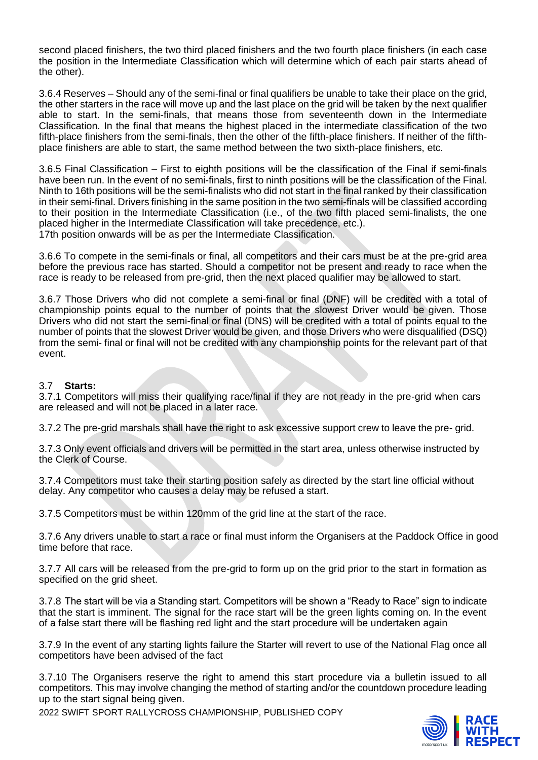second placed finishers, the two third placed finishers and the two fourth place finishers (in each case the position in the Intermediate Classification which will determine which of each pair starts ahead of the other).

3.6.4 Reserves – Should any of the semi-final or final qualifiers be unable to take their place on the grid, the other starters in the race will move up and the last place on the grid will be taken by the next qualifier able to start. In the semi-finals, that means those from seventeenth down in the Intermediate Classification. In the final that means the highest placed in the intermediate classification of the two fifth-place finishers from the semi-finals, then the other of the fifth-place finishers. If neither of the fifthplace finishers are able to start, the same method between the two sixth-place finishers, etc.

3.6.5 Final Classification – First to eighth positions will be the classification of the Final if semi-finals have been run. In the event of no semi-finals, first to ninth positions will be the classification of the Final. Ninth to 16th positions will be the semi-finalists who did not start in the final ranked by their classification in their semi-final. Drivers finishing in the same position in the two semi-finals will be classified according to their position in the Intermediate Classification (i.e., of the two fifth placed semi-finalists, the one placed higher in the Intermediate Classification will take precedence, etc.). 17th position onwards will be as per the Intermediate Classification.

3.6.6 To compete in the semi-finals or final, all competitors and their cars must be at the pre-grid area before the previous race has started. Should a competitor not be present and ready to race when the race is ready to be released from pre-grid, then the next placed qualifier may be allowed to start.

3.6.7 Those Drivers who did not complete a semi-final or final (DNF) will be credited with a total of championship points equal to the number of points that the slowest Driver would be given. Those Drivers who did not start the semi-final or final (DNS) will be credited with a total of points equal to the number of points that the slowest Driver would be given, and those Drivers who were disqualified (DSQ) from the semi- final or final will not be credited with any championship points for the relevant part of that event.

#### 3.7 **Starts:**

3.7.1 Competitors will miss their qualifying race/final if they are not ready in the pre-grid when cars are released and will not be placed in a later race.

3.7.2 The pre-grid marshals shall have the right to ask excessive support crew to leave the pre- grid.

3.7.3 Only event officials and drivers will be permitted in the start area, unless otherwise instructed by the Clerk of Course.

3.7.4 Competitors must take their starting position safely as directed by the start line official without delay. Any competitor who causes a delay may be refused a start.

3.7.5 Competitors must be within 120mm of the grid line at the start of the race.

3.7.6 Any drivers unable to start a race or final must inform the Organisers at the Paddock Office in good time before that race.

3.7.7 All cars will be released from the pre-grid to form up on the grid prior to the start in formation as specified on the grid sheet.

3.7.8 The start will be via a Standing start. Competitors will be shown a "Ready to Race" sign to indicate that the start is imminent. The signal for the race start will be the green lights coming on. In the event of a false start there will be flashing red light and the start procedure will be undertaken again

3.7.9 In the event of any starting lights failure the Starter will revert to use of the National Flag once all competitors have been advised of the fact

3.7.10 The Organisers reserve the right to amend this start procedure via a bulletin issued to all competitors. This may involve changing the method of starting and/or the countdown procedure leading up to the start signal being given.

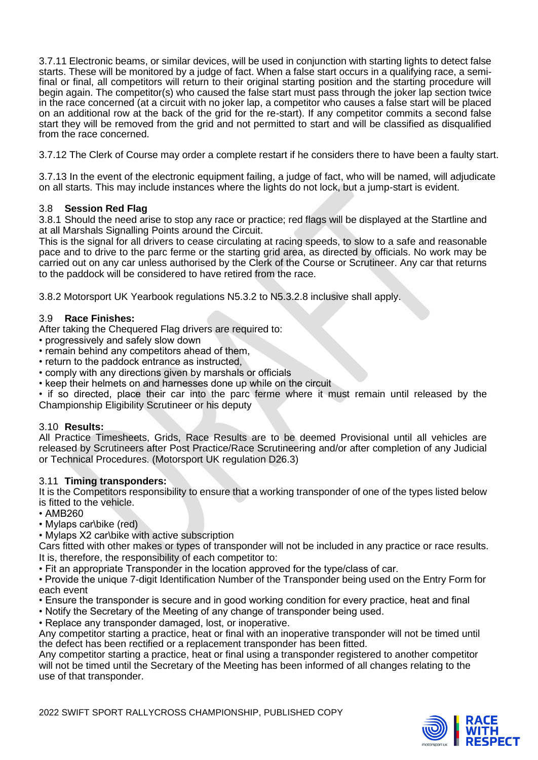3.7.11 Electronic beams, or similar devices, will be used in conjunction with starting lights to detect false starts. These will be monitored by a judge of fact. When a false start occurs in a qualifying race, a semifinal or final, all competitors will return to their original starting position and the starting procedure will begin again. The competitor(s) who caused the false start must pass through the joker lap section twice in the race concerned (at a circuit with no joker lap, a competitor who causes a false start will be placed on an additional row at the back of the grid for the re-start). If any competitor commits a second false start they will be removed from the grid and not permitted to start and will be classified as disqualified from the race concerned.

3.7.12 The Clerk of Course may order a complete restart if he considers there to have been a faulty start.

3.7.13 In the event of the electronic equipment failing, a judge of fact, who will be named, will adjudicate on all starts. This may include instances where the lights do not lock, but a jump-start is evident.

#### 3.8 **Session Red Flag**

3.8.1 Should the need arise to stop any race or practice; red flags will be displayed at the Startline and at all Marshals Signalling Points around the Circuit.

This is the signal for all drivers to cease circulating at racing speeds, to slow to a safe and reasonable pace and to drive to the parc ferme or the starting grid area, as directed by officials. No work may be carried out on any car unless authorised by the Clerk of the Course or Scrutineer. Any car that returns to the paddock will be considered to have retired from the race.

3.8.2 Motorsport UK Yearbook regulations N5.3.2 to N5.3.2.8 inclusive shall apply.

## 3.9 **Race Finishes:**

After taking the Chequered Flag drivers are required to:

- progressively and safely slow down
- remain behind any competitors ahead of them,
- return to the paddock entrance as instructed,
- comply with any directions given by marshals or officials
- keep their helmets on and harnesses done up while on the circuit

• if so directed, place their car into the parc ferme where it must remain until released by the Championship Eligibility Scrutineer or his deputy

#### 3.10 **Results:**

All Practice Timesheets, Grids, Race Results are to be deemed Provisional until all vehicles are released by Scrutineers after Post Practice/Race Scrutineering and/or after completion of any Judicial or Technical Procedures. (Motorsport UK regulation D26.3)

#### 3.11 **Timing transponders:**

It is the Competitors responsibility to ensure that a working transponder of one of the types listed below is fitted to the vehicle.

- AMB260
- Mylaps car\bike (red)
- Mylaps X2 car\bike with active subscription

Cars fitted with other makes or types of transponder will not be included in any practice or race results. It is, therefore, the responsibility of each competitor to:

- Fit an appropriate Transponder in the location approved for the type/class of car.
- Provide the unique 7-digit Identification Number of the Transponder being used on the Entry Form for each event
- Ensure the transponder is secure and in good working condition for every practice, heat and final
- Notify the Secretary of the Meeting of any change of transponder being used.
- Replace any transponder damaged, lost, or inoperative.

Any competitor starting a practice, heat or final with an inoperative transponder will not be timed until the defect has been rectified or a replacement transponder has been fitted.

Any competitor starting a practice, heat or final using a transponder registered to another competitor will not be timed until the Secretary of the Meeting has been informed of all changes relating to the use of that transponder.

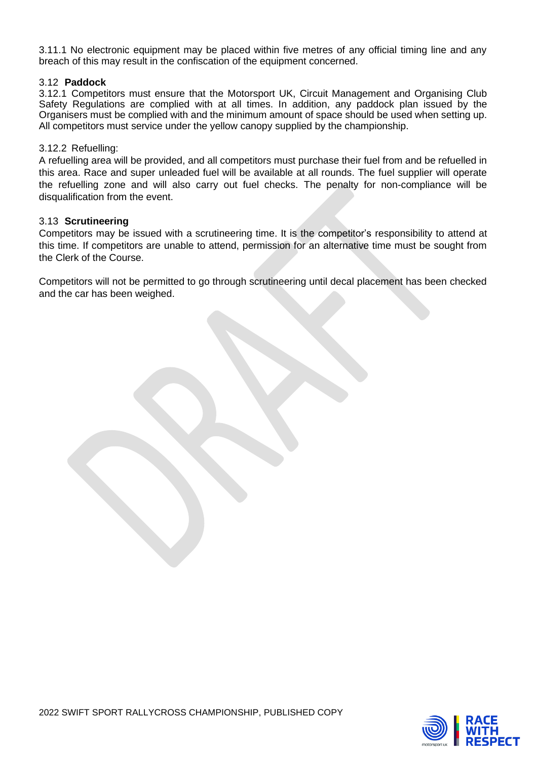3.11.1 No electronic equipment may be placed within five metres of any official timing line and any breach of this may result in the confiscation of the equipment concerned.

#### 3.12 **Paddock**

3.12.1 Competitors must ensure that the Motorsport UK, Circuit Management and Organising Club Safety Regulations are complied with at all times. In addition, any paddock plan issued by the Organisers must be complied with and the minimum amount of space should be used when setting up. All competitors must service under the yellow canopy supplied by the championship.

#### 3.12.2 Refuelling:

A refuelling area will be provided, and all competitors must purchase their fuel from and be refuelled in this area. Race and super unleaded fuel will be available at all rounds. The fuel supplier will operate the refuelling zone and will also carry out fuel checks. The penalty for non-compliance will be disqualification from the event.

#### 3.13 **Scrutineering**

Competitors may be issued with a scrutineering time. It is the competitor's responsibility to attend at this time. If competitors are unable to attend, permission for an alternative time must be sought from the Clerk of the Course.

Competitors will not be permitted to go through scrutineering until decal placement has been checked and the car has been weighed.

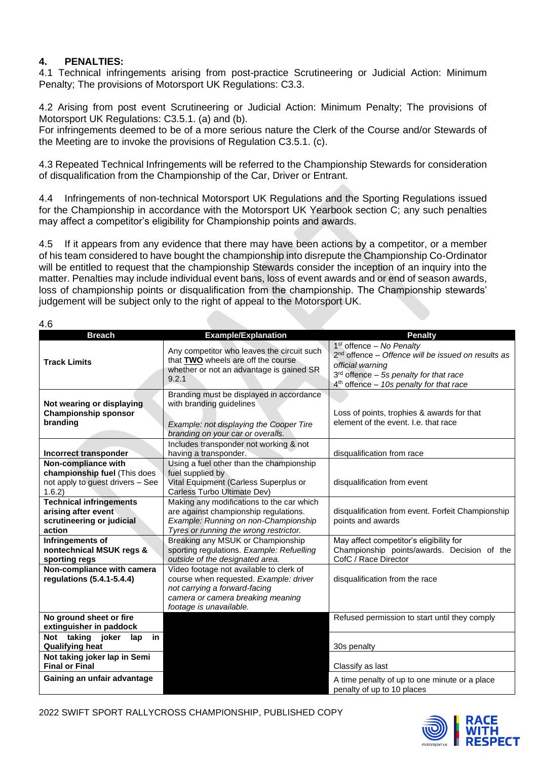## **4. PENALTIES:**

4.1 Technical infringements arising from post-practice Scrutineering or Judicial Action: Minimum Penalty; The provisions of Motorsport UK Regulations: C3.3.

4.2 Arising from post event Scrutineering or Judicial Action: Minimum Penalty; The provisions of Motorsport UK Regulations: C3.5.1. (a) and (b).

For infringements deemed to be of a more serious nature the Clerk of the Course and/or Stewards of the Meeting are to invoke the provisions of Regulation C3.5.1. (c).

4.3 Repeated Technical Infringements will be referred to the Championship Stewards for consideration of disqualification from the Championship of the Car, Driver or Entrant.

4.4 Infringements of non-technical Motorsport UK Regulations and the Sporting Regulations issued for the Championship in accordance with the Motorsport UK Yearbook section C; any such penalties may affect a competitor's eligibility for Championship points and awards.

4.5 If it appears from any evidence that there may have been actions by a competitor, or a member of his team considered to have bought the championship into disrepute the Championship Co-Ordinator will be entitled to request that the championship Stewards consider the inception of an inquiry into the matter. Penalties may include individual event bans, loss of event awards and or end of season awards, loss of championship points or disqualification from the championship. The Championship stewards' judgement will be subject only to the right of appeal to the Motorsport UK.

 $\overline{4}$  6

| T.V                                                                                              |                                                                                                                                                                                    |                                                                                                                                                                                                 |
|--------------------------------------------------------------------------------------------------|------------------------------------------------------------------------------------------------------------------------------------------------------------------------------------|-------------------------------------------------------------------------------------------------------------------------------------------------------------------------------------------------|
| <b>Breach</b>                                                                                    | <b>Example/Explanation</b>                                                                                                                                                         | <b>Penalty</b>                                                                                                                                                                                  |
| <b>Track Limits</b>                                                                              | Any competitor who leaves the circuit such<br>that TWO wheels are off the course<br>whether or not an advantage is gained SR<br>9.2.1                                              | $1st$ offence – No Penalty<br>$2nd$ offence – Offence will be issued on results as<br>official warning<br>$3rd$ offence – 5s penalty for that race<br>$4th$ offence - 10s penalty for that race |
| Not wearing or displaying<br><b>Championship sponsor</b><br>branding                             | Branding must be displayed in accordance<br>with branding guidelines<br>Example: not displaying the Cooper Tire<br>branding on your car or overalls.                               | Loss of points, trophies & awards for that<br>element of the event. I.e. that race                                                                                                              |
|                                                                                                  | Includes transponder not working & not                                                                                                                                             |                                                                                                                                                                                                 |
| Incorrect transponder                                                                            | having a transponder.                                                                                                                                                              | disqualification from race                                                                                                                                                                      |
| Non-compliance with<br>championship fuel (This does<br>not apply to guest drivers - See<br>1.6.2 | Using a fuel other than the championship<br>fuel supplied by<br>Vital Equipment (Carless Superplus or<br>Carless Turbo Ultimate Dev)                                               | disqualification from event                                                                                                                                                                     |
| <b>Technical infringements</b><br>arising after event<br>scrutineering or judicial<br>action     | Making any modifications to the car which<br>are against championship regulations.<br>Example: Running on non-Championship<br>Tyres or running the wrong restrictor.               | disqualification from event. Forfeit Championship<br>points and awards                                                                                                                          |
| Infringements of<br>nontechnical MSUK regs &<br>sporting regs                                    | Breaking any MSUK or Championship<br>sporting regulations. Example: Refuelling<br>outside of the designated area.                                                                  | May affect competitor's eligibility for<br>Championship points/awards. Decision of the<br>CofC / Race Director                                                                                  |
| Non-compliance with camera<br>regulations (5.4.1-5.4.4)                                          | Video footage not available to clerk of<br>course when requested. Example: driver<br>not carrying a forward-facing<br>camera or camera breaking meaning<br>footage is unavailable. | disqualification from the race                                                                                                                                                                  |
| No ground sheet or fire<br>extinguisher in paddock                                               |                                                                                                                                                                                    | Refused permission to start until they comply                                                                                                                                                   |
| Not taking<br>joker<br>in<br>lap<br><b>Qualifying heat</b>                                       |                                                                                                                                                                                    | 30s penalty                                                                                                                                                                                     |
| Not taking joker lap in Semi<br><b>Final or Final</b>                                            |                                                                                                                                                                                    | Classify as last                                                                                                                                                                                |
| Gaining an unfair advantage                                                                      |                                                                                                                                                                                    | A time penalty of up to one minute or a place<br>penalty of up to 10 places                                                                                                                     |

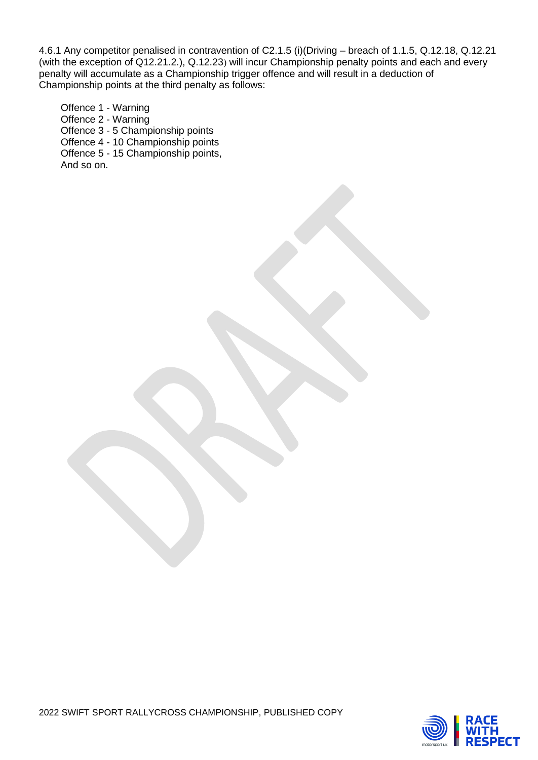4.6.1 Any competitor penalised in contravention of C2.1.5 (i)(Driving – breach of 1.1.5, Q.12.18, Q.12.21 (with the exception of Q12.21.2.), Q.12.23) will incur Championship penalty points and each and every penalty will accumulate as a Championship trigger offence and will result in a deduction of Championship points at the third penalty as follows:

Offence 1 - Warning Offence 2 - Warning Offence 3 - 5 Championship points Offence 4 - 10 Championship points Offence 5 - 15 Championship points, And so on.

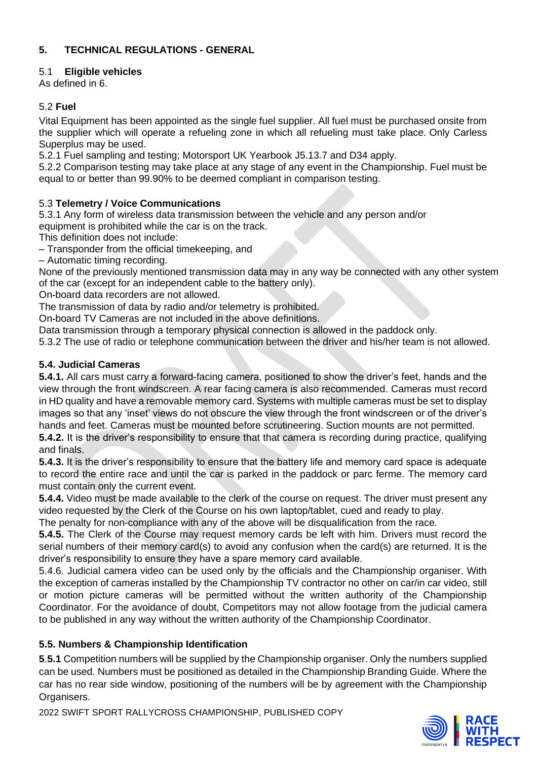## **5. TECHNICAL REGULATIONS - GENERAL**

## 5.1 **Eligible vehicles**

As defined in 6.

## 5.2 **Fuel**

Vital Equipment has been appointed as the single fuel supplier. All fuel must be purchased onsite from the supplier which will operate a refueling zone in which all refueling must take place. Only Carless Superplus may be used.

5.2.1 Fuel sampling and testing; Motorsport UK Yearbook J5.13.7 and D34 apply.

5.2.2 Comparison testing may take place at any stage of any event in the Championship. Fuel must be equal to or better than 99.90% to be deemed compliant in comparison testing.

## 5.3 **Telemetry / Voice Communications**

5.3.1 Any form of wireless data transmission between the vehicle and any person and/or

equipment is prohibited while the car is on the track.

This definition does not include:

– Transponder from the official timekeeping, and

– Automatic timing recording.

None of the previously mentioned transmission data may in any way be connected with any other system of the car (except for an independent cable to the battery only).

On**‐**board data recorders are not allowed.

The transmission of data by radio and/or telemetry is prohibited.

On**‐**board TV Cameras are not included in the above definitions.

Data transmission through a temporary physical connection is allowed in the paddock only.

5.3.2 The use of radio or telephone communication between the driver and his/her team is not allowed.

## **5.4. Judicial Cameras**

**5.4.1.** All cars must carry a forward-facing camera, positioned to show the driver's feet, hands and the view through the front windscreen. A rear facing camera is also recommended. Cameras must record in HD quality and have a removable memory card. Systems with multiple cameras must be set to display images so that any 'inset' views do not obscure the view through the front windscreen or of the driver's hands and feet. Cameras must be mounted before scrutineering. Suction mounts are not permitted.

**5.4.2.** It is the driver's responsibility to ensure that that camera is recording during practice, qualifying and finals.

**5.4.3.** It is the driver's responsibility to ensure that the battery life and memory card space is adequate to record the entire race and until the car is parked in the paddock or parc ferme. The memory card must contain only the current event.

**5.4.4.** Video must be made available to the clerk of the course on request. The driver must present any video requested by the Clerk of the Course on his own laptop/tablet, cued and ready to play.

The penalty for non-compliance with any of the above will be disqualification from the race.

**5.4.5.** The Clerk of the Course may request memory cards be left with him. Drivers must record the serial numbers of their memory card(s) to avoid any confusion when the card(s) are returned. It is the driver's responsibility to ensure they have a spare memory card available.

5.4.6. Judicial camera video can be used only by the officials and the Championship organiser. With the exception of cameras installed by the Championship TV contractor no other on car/in car video, still or motion picture cameras will be permitted without the written authority of the Championship Coordinator. For the avoidance of doubt, Competitors may not allow footage from the judicial camera to be published in any way without the written authority of the Championship Coordinator.

## **5.5. Numbers & Championship Identification**

**5**.**5.1** Competition numbers will be supplied by the Championship organiser. Only the numbers supplied can be used. Numbers must be positioned as detailed in the Championship Branding Guide. Where the car has no rear side window, positioning of the numbers will be by agreement with the Championship Organisers.

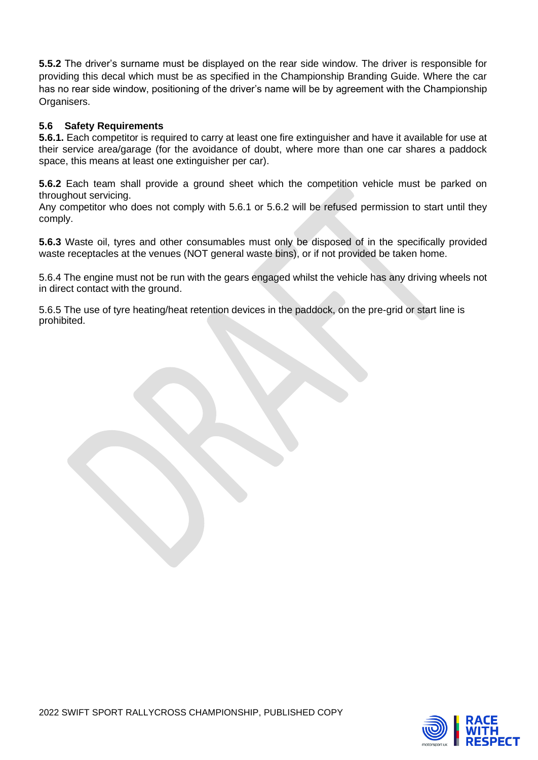**5.5.2** The driver's surname must be displayed on the rear side window. The driver is responsible for providing this decal which must be as specified in the Championship Branding Guide. Where the car has no rear side window, positioning of the driver's name will be by agreement with the Championship Organisers.

#### **5.6 Safety Requirements**

**5.6.1.** Each competitor is required to carry at least one fire extinguisher and have it available for use at their service area/garage (for the avoidance of doubt, where more than one car shares a paddock space, this means at least one extinguisher per car).

**5.6.2** Each team shall provide a ground sheet which the competition vehicle must be parked on throughout servicing.

Any competitor who does not comply with 5.6.1 or 5.6.2 will be refused permission to start until they comply.

**5.6.3** Waste oil, tyres and other consumables must only be disposed of in the specifically provided waste receptacles at the venues (NOT general waste bins), or if not provided be taken home.

5.6.4 The engine must not be run with the gears engaged whilst the vehicle has any driving wheels not in direct contact with the ground.

5.6.5 The use of tyre heating/heat retention devices in the paddock, on the pre-grid or start line is prohibited.

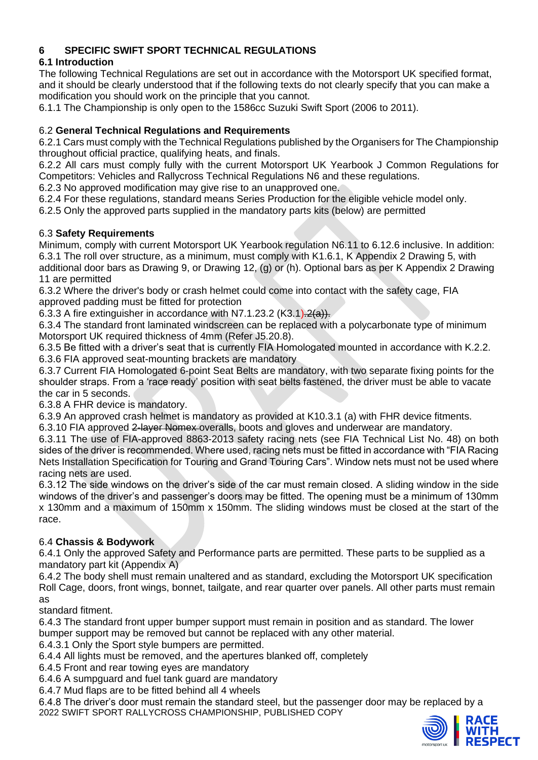## **6 SPECIFIC SWIFT SPORT TECHNICAL REGULATIONS**

# **6.1 Introduction**

The following Technical Regulations are set out in accordance with the Motorsport UK specified format, and it should be clearly understood that if the following texts do not clearly specify that you can make a modification you should work on the principle that you cannot.

6.1.1 The Championship is only open to the 1586cc Suzuki Swift Sport (2006 to 2011).

## 6.2 **General Technical Regulations and Requirements**

6.2.1 Cars must comply with the Technical Regulations published by the Organisers for The Championship throughout official practice, qualifying heats, and finals.

6.2.2 All cars must comply fully with the current Motorsport UK Yearbook J Common Regulations for Competitors: Vehicles and Rallycross Technical Regulations N6 and these regulations.

6.2.3 No approved modification may give rise to an unapproved one.

6.2.4 For these regulations, standard means Series Production for the eligible vehicle model only.

6.2.5 Only the approved parts supplied in the mandatory parts kits (below) are permitted

## 6.3 **Safety Requirements**

Minimum, comply with current Motorsport UK Yearbook regulation N6.11 to 6.12.6 inclusive. In addition: 6.3.1 The roll over structure, as a minimum, must comply with K1.6.1, K Appendix 2 Drawing 5, with additional door bars as Drawing 9, or Drawing 12, (g) or (h). Optional bars as per K Appendix 2 Drawing 11 are permitted

6.3.2 Where the driver's body or crash helmet could come into contact with the safety cage, FIA approved padding must be fitted for protection

6.3.3 A fire extinguisher in accordance with N7.1.23.2  $(K3.1)$ .  $2(a)$ .

6.3.4 The standard front laminated windscreen can be replaced with a polycarbonate type of minimum Motorsport UK required thickness of 4mm (Refer J5.20.8).

6.3.5 Be fitted with a driver's seat that is currently FIA Homologated mounted in accordance with K.2.2. 6.3.6 FIA approved seat-mounting brackets are mandatory

6.3.7 Current FIA Homologated 6-point Seat Belts are mandatory, with two separate fixing points for the shoulder straps. From a 'race ready' position with seat belts fastened, the driver must be able to vacate the car in 5 seconds.

6.3.8 A FHR device is mandatory.

6.3.9 An approved crash helmet is mandatory as provided at K10.3.1 (a) with FHR device fitments.

6.3.10 FIA approved 2-layer Nomex overalls, boots and gloves and underwear are mandatory.

6.3.11 The use of FIA-approved 8863-2013 safety racing nets (see FIA Technical List No. 48) on both sides of the driver is recommended. Where used, racing nets must be fitted in accordance with "FIA Racing Nets Installation Specification for Touring and Grand Touring Cars". Window nets must not be used where racing nets are used.

6.3.12 The side windows on the driver's side of the car must remain closed. A sliding window in the side windows of the driver's and passenger's doors may be fitted. The opening must be a minimum of 130mm x 130mm and a maximum of 150mm x 150mm. The sliding windows must be closed at the start of the race.

## 6.4 **Chassis & Bodywork**

6.4.1 Only the approved Safety and Performance parts are permitted. These parts to be supplied as a mandatory part kit (Appendix A)

6.4.2 The body shell must remain unaltered and as standard, excluding the Motorsport UK specification Roll Cage, doors, front wings, bonnet, tailgate, and rear quarter over panels. All other parts must remain as

standard fitment.

6.4.3 The standard front upper bumper support must remain in position and as standard. The lower bumper support may be removed but cannot be replaced with any other material.

6.4.3.1 Only the Sport style bumpers are permitted.

6.4.4 All lights must be removed, and the apertures blanked off, completely

6.4.5 Front and rear towing eyes are mandatory

6.4.6 A sumpguard and fuel tank guard are mandatory

6.4.7 Mud flaps are to be fitted behind all 4 wheels

2022 SWIFT SPORT RALLYCROSS CHAMPIONSHIP, PUBLISHED COPY 6.4.8 The driver's door must remain the standard steel, but the passenger door may be replaced by a

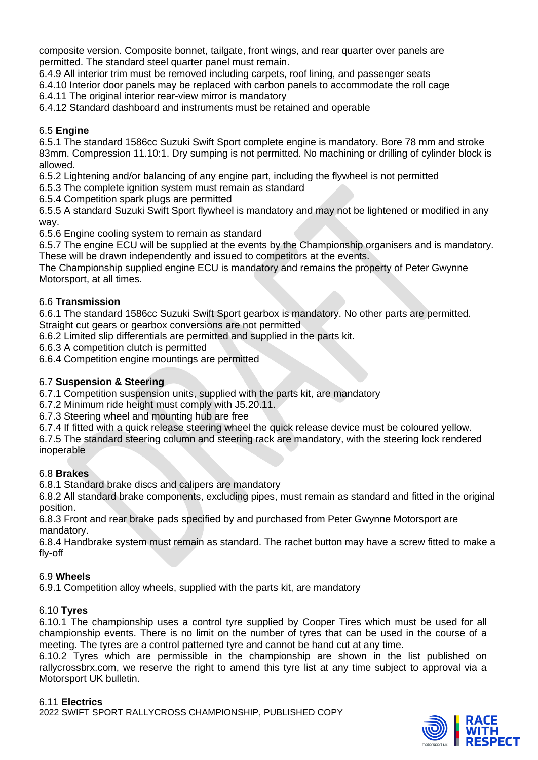composite version. Composite bonnet, tailgate, front wings, and rear quarter over panels are permitted. The standard steel quarter panel must remain.

6.4.9 All interior trim must be removed including carpets, roof lining, and passenger seats

6.4.10 Interior door panels may be replaced with carbon panels to accommodate the roll cage

6.4.11 The original interior rear-view mirror is mandatory

6.4.12 Standard dashboard and instruments must be retained and operable

## 6.5 **Engine**

6.5.1 The standard 1586cc Suzuki Swift Sport complete engine is mandatory. Bore 78 mm and stroke 83mm. Compression 11.10:1. Dry sumping is not permitted. No machining or drilling of cylinder block is allowed.

6.5.2 Lightening and/or balancing of any engine part, including the flywheel is not permitted

6.5.3 The complete ignition system must remain as standard

6.5.4 Competition spark plugs are permitted

6.5.5 A standard Suzuki Swift Sport flywheel is mandatory and may not be lightened or modified in any way.

6.5.6 Engine cooling system to remain as standard

6.5.7 The engine ECU will be supplied at the events by the Championship organisers and is mandatory. These will be drawn independently and issued to competitors at the events.

The Championship supplied engine ECU is mandatory and remains the property of Peter Gwynne Motorsport, at all times.

## 6.6 **Transmission**

6.6.1 The standard 1586cc Suzuki Swift Sport gearbox is mandatory. No other parts are permitted. Straight cut gears or gearbox conversions are not permitted

6.6.2 Limited slip differentials are permitted and supplied in the parts kit.

6.6.3 A competition clutch is permitted

6.6.4 Competition engine mountings are permitted

## 6.7 **Suspension & Steering**

6.7.1 Competition suspension units, supplied with the parts kit, are mandatory

6.7.2 Minimum ride height must comply with J5.20.11.

6.7.3 Steering wheel and mounting hub are free

6.7.4 If fitted with a quick release steering wheel the quick release device must be coloured yellow. 6.7.5 The standard steering column and steering rack are mandatory, with the steering lock rendered inoperable

## 6.8 **Brakes**

6.8.1 Standard brake discs and calipers are mandatory

6.8.2 All standard brake components, excluding pipes, must remain as standard and fitted in the original position.

6.8.3 Front and rear brake pads specified by and purchased from Peter Gwynne Motorsport are mandatory.

6.8.4 Handbrake system must remain as standard. The rachet button may have a screw fitted to make a fly-off

## 6.9 **Wheels**

6.9.1 Competition alloy wheels, supplied with the parts kit, are mandatory

## 6.10 **Tyres**

6.10.1 The championship uses a control tyre supplied by Cooper Tires which must be used for all championship events. There is no limit on the number of tyres that can be used in the course of a meeting. The tyres are a control patterned tyre and cannot be hand cut at any time.

6.10.2 Tyres which are permissible in the championship are shown in the list published on rallycrossbrx.com, we reserve the right to amend this tyre list at any time subject to approval via a Motorsport UK bulletin.

#### 6.11 **Electrics**

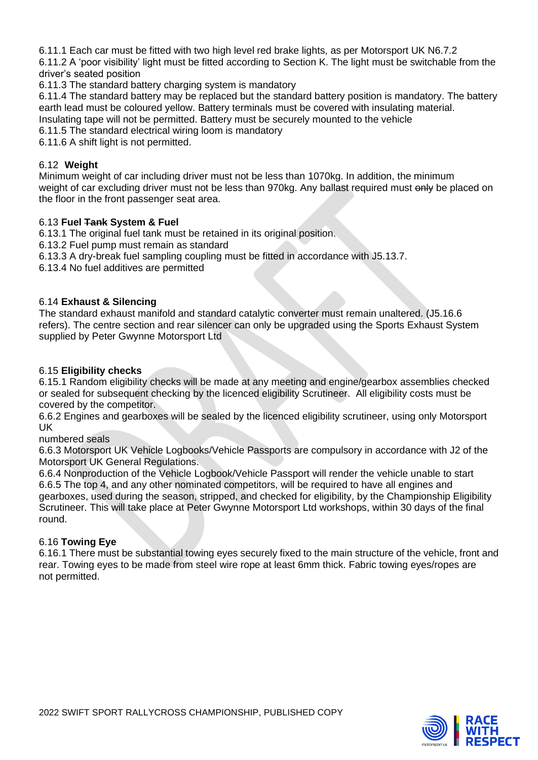6.11.1 Each car must be fitted with two high level red brake lights, as per Motorsport UK N6.7.2

6.11.2 A 'poor visibility' light must be fitted according to Section K. The light must be switchable from the driver's seated position

6.11.3 The standard battery charging system is mandatory

6.11.4 The standard battery may be replaced but the standard battery position is mandatory. The battery earth lead must be coloured yellow. Battery terminals must be covered with insulating material. Insulating tape will not be permitted. Battery must be securely mounted to the vehicle

6.11.5 The standard electrical wiring loom is mandatory

6.11.6 A shift light is not permitted.

#### 6.12 **Weight**

Minimum weight of car including driver must not be less than 1070kg. In addition, the minimum weight of car excluding driver must not be less than 970kg. Any ballast required must only be placed on the floor in the front passenger seat area.

## 6.13 **Fuel Tank System & Fuel**

6.13.1 The original fuel tank must be retained in its original position.

6.13.2 Fuel pump must remain as standard

6.13.3 A dry-break fuel sampling coupling must be fitted in accordance with J5.13.7.

6.13.4 No fuel additives are permitted

## 6.14 **Exhaust & Silencing**

The standard exhaust manifold and standard catalytic converter must remain unaltered. (J5.16.6 refers). The centre section and rear silencer can only be upgraded using the Sports Exhaust System supplied by Peter Gwynne Motorsport Ltd

## 6.15 **Eligibility checks**

6.15.1 Random eligibility checks will be made at any meeting and engine/gearbox assemblies checked or sealed for subsequent checking by the licenced eligibility Scrutineer. All eligibility costs must be covered by the competitor.

6.6.2 Engines and gearboxes will be sealed by the licenced eligibility scrutineer, using only Motorsport UK

numbered seals

6.6.3 Motorsport UK Vehicle Logbooks/Vehicle Passports are compulsory in accordance with J2 of the Motorsport UK General Regulations.

6.6.4 Nonproduction of the Vehicle Logbook/Vehicle Passport will render the vehicle unable to start 6.6.5 The top 4, and any other nominated competitors, will be required to have all engines and gearboxes, used during the season, stripped, and checked for eligibility, by the Championship Eligibility Scrutineer. This will take place at Peter Gwynne Motorsport Ltd workshops, within 30 days of the final round.

## 6.16 **Towing Eye**

6.16.1 There must be substantial towing eyes securely fixed to the main structure of the vehicle, front and rear. Towing eyes to be made from steel wire rope at least 6mm thick. Fabric towing eyes/ropes are not permitted.

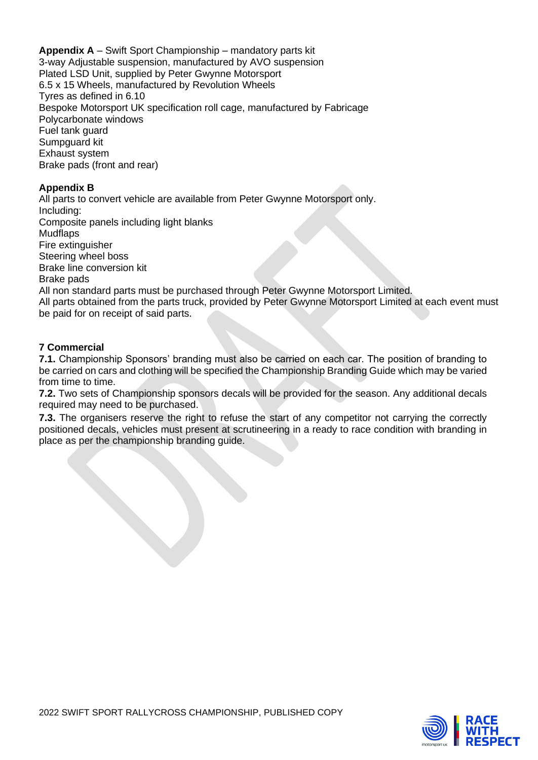**Appendix A** – Swift Sport Championship – mandatory parts kit 3-way Adjustable suspension, manufactured by AVO suspension Plated LSD Unit, supplied by Peter Gwynne Motorsport 6.5 x 15 Wheels, manufactured by Revolution Wheels Tyres as defined in 6.10 Bespoke Motorsport UK specification roll cage, manufactured by Fabricage Polycarbonate windows Fuel tank guard Sumpguard kit Exhaust system Brake pads (front and rear)

## **Appendix B**

All parts to convert vehicle are available from Peter Gwynne Motorsport only. Including: Composite panels including light blanks **Mudflaps** Fire extinguisher Steering wheel boss Brake line conversion kit Brake pads All non standard parts must be purchased through Peter Gwynne Motorsport Limited. All parts obtained from the parts truck, provided by Peter Gwynne Motorsport Limited at each event must be paid for on receipt of said parts.

## **7 Commercial**

**7.1.** Championship Sponsors' branding must also be carried on each car. The position of branding to be carried on cars and clothing will be specified the Championship Branding Guide which may be varied from time to time.

**7.2.** Two sets of Championship sponsors decals will be provided for the season. Any additional decals required may need to be purchased.

**7.3.** The organisers reserve the right to refuse the start of any competitor not carrying the correctly positioned decals, vehicles must present at scrutineering in a ready to race condition with branding in place as per the championship branding guide.